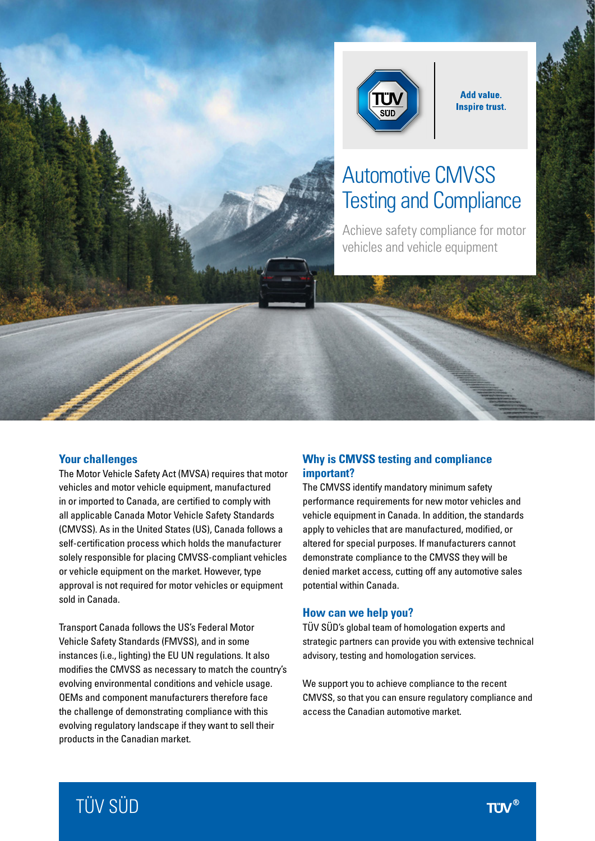

**Add value. Inspire trust.** 

# Automotive CMVSS Testing and Compliance

Achieve safety compliance for motor vehicles and vehicle equipment

#### **Your challenges**

The Motor Vehicle Safety Act (MVSA) requires that motor vehicles and motor vehicle equipment, manufactured in or imported to Canada, are certified to comply with all applicable Canada Motor Vehicle Safety Standards (CMVSS). As in the United States (US), Canada follows a self-certification process which holds the manufacturer solely responsible for placing CMVSS-compliant vehicles or vehicle equipment on the market. However, type approval is not required for motor vehicles or equipment sold in Canada.

Transport Canada follows the US's Federal Motor Vehicle Safety Standards (FMVSS), and in some instances (i.e., lighting) the EU UN regulations. It also modifies the CMVSS as necessary to match the country's evolving environmental conditions and vehicle usage. OEMs and component manufacturers therefore face the challenge of demonstrating compliance with this evolving regulatory landscape if they want to sell their products in the Canadian market.

## **Why is CMVSS testing and compliance important?**

The CMVSS identify mandatory minimum safety performance requirements for new motor vehicles and vehicle equipment in Canada. In addition, the standards apply to vehicles that are manufactured, modified, or altered for special purposes. If manufacturers cannot demonstrate compliance to the CMVSS they will be denied market access, cutting off any automotive sales potential within Canada.

#### **How can we help you?**

TÜV SÜD's global team of homologation experts and strategic partners can provide you with extensive technical advisory, testing and homologation services.

We support you to achieve compliance to the recent CMVSS, so that you can ensure regulatory compliance and access the Canadian automotive market.

# TÜV SÜD